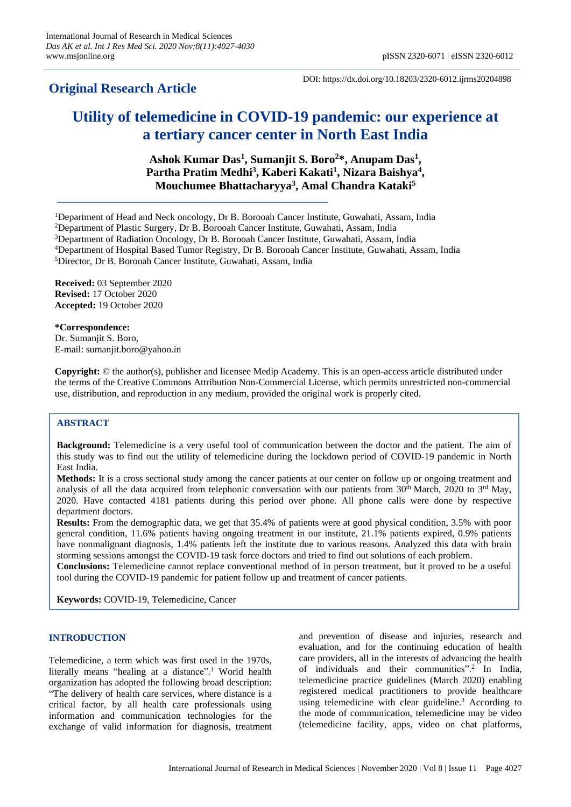# **Original Research Article**

DOI: https://dx.doi.org/10.18203/2320-6012.ijrms20204898

# **Utility of telemedicine in COVID-19 pandemic: our experience at a tertiary cancer center in North East India**

**Ashok Kumar Das<sup>1</sup> , Sumanjit S. Boro<sup>2</sup>\*, Anupam Das<sup>1</sup> ,**  Partha Pratim Medhi<sup>3</sup>, Kaberi Kakati<sup>1</sup>, Nizara Baishya<sup>4</sup>, **Mouchumee Bhattacharyya<sup>3</sup> , Amal Chandra Kataki<sup>5</sup>**

<sup>1</sup>Department of Head and Neck oncology, Dr B. Borooah Cancer Institute, Guwahati, Assam, India

<sup>4</sup>Department of Hospital Based Tumor Registry, Dr B. Borooah Cancer Institute, Guwahati, Assam, India <sup>5</sup>Director, Dr B. Borooah Cancer Institute, Guwahati, Assam, India

**Received:** 03 September 2020 **Revised:** 17 October 2020 **Accepted:** 19 October 2020

**\*Correspondence:** Dr. Sumanjit S. Boro, E-mail: sumanjit.boro@yahoo.in

**Copyright:** © the author(s), publisher and licensee Medip Academy. This is an open-access article distributed under the terms of the Creative Commons Attribution Non-Commercial License, which permits unrestricted non-commercial use, distribution, and reproduction in any medium, provided the original work is properly cited.

## **ABSTRACT**

**Background:** Telemedicine is a very useful tool of communication between the doctor and the patient. The aim of this study was to find out the utility of telemedicine during the lockdown period of COVID-19 pandemic in North East India.

**Methods:** It is a cross sectional study among the cancer patients at our center on follow up or ongoing treatment and analysis of all the data acquired from telephonic conversation with our patients from 30<sup>th</sup> March, 2020 to 3<sup>rd</sup> May, 2020. Have contacted 4181 patients during this period over phone. All phone calls were done by respective department doctors.

**Results:** From the demographic data, we get that 35.4% of patients were at good physical condition, 3.5% with poor general condition, 11.6% patients having ongoing treatment in our institute, 21.1% patients expired, 0.9% patients have nonmalignant diagnosis, 1.4% patients left the institute due to various reasons. Analyzed this data with brain storming sessions amongst the COVID-19 task force doctors and tried to find out solutions of each problem.

**Conclusions:** Telemedicine cannot replace conventional method of in person treatment, but it proved to be a useful tool during the COVID-19 pandemic for patient follow up and treatment of cancer patients.

**Keywords:** COVID-19, Telemedicine, Cancer

### **INTRODUCTION**

Telemedicine, a term which was first used in the 1970s, literally means "healing at a distance".<sup>1</sup> World health organization has adopted the following broad description: "The delivery of health care services, where distance is a critical factor, by all health care professionals using information and communication technologies for the exchange of valid information for diagnosis, treatment and prevention of disease and injuries, research and evaluation, and for the continuing education of health care providers, all in the interests of advancing the health of individuals and their communities".<sup>2</sup> In India, telemedicine practice guidelines (March 2020) enabling registered medical practitioners to provide healthcare using telemedicine with clear guideline.<sup>3</sup> According to the mode of communication, telemedicine may be video (telemedicine facility, apps, video on chat platforms,

<sup>&</sup>lt;sup>2</sup>Department of Plastic Surgery, Dr B. Borooah Cancer Institute, Guwahati, Assam, India

<sup>3</sup>Department of Radiation Oncology, Dr B. Borooah Cancer Institute, Guwahati, Assam, India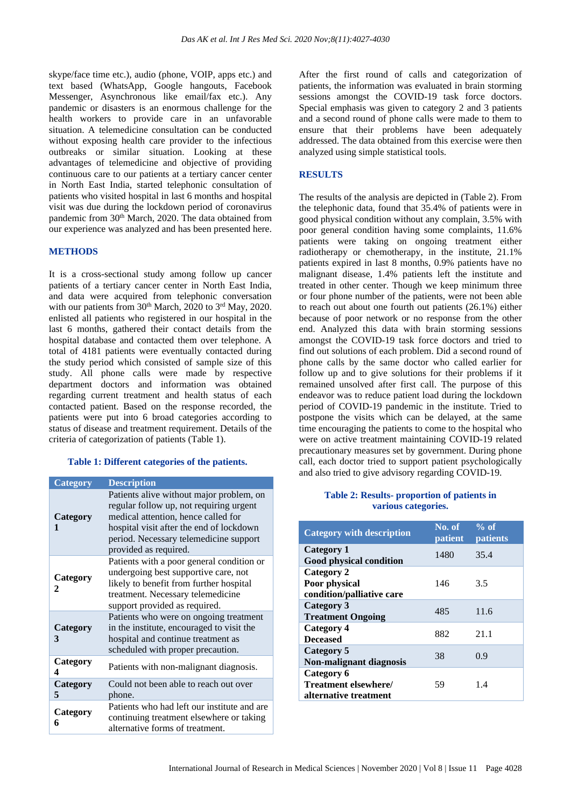skype/face time etc.), audio (phone, VOIP, apps etc.) and text based (WhatsApp, Google hangouts, Facebook Messenger, Asynchronous like email/fax etc.). Any pandemic or disasters is an enormous challenge for the health workers to provide care in an unfavorable situation. A telemedicine consultation can be conducted without exposing health care provider to the infectious outbreaks or similar situation. Looking at these advantages of telemedicine and objective of providing continuous care to our patients at a tertiary cancer center in North East India, started telephonic consultation of patients who visited hospital in last 6 months and hospital visit was due during the lockdown period of coronavirus pandemic from 30<sup>th</sup> March, 2020. The data obtained from our experience was analyzed and has been presented here.

#### **METHODS**

It is a cross-sectional study among follow up cancer patients of a tertiary cancer center in North East India, and data were acquired from telephonic conversation with our patients from 30<sup>th</sup> March, 2020 to 3<sup>rd</sup> May, 2020. enlisted all patients who registered in our hospital in the last 6 months, gathered their contact details from the hospital database and contacted them over telephone. A total of 4181 patients were eventually contacted during the study period which consisted of sample size of this study. All phone calls were made by respective department doctors and information was obtained regarding current treatment and health status of each contacted patient. Based on the response recorded, the patients were put into 6 broad categories according to status of disease and treatment requirement. Details of the criteria of categorization of patients (Table 1).

#### **Table 1: Different categories of the patients.**

| <b>Category</b> | <b>Description</b>                                                                                                                                                                                                                        |  |
|-----------------|-------------------------------------------------------------------------------------------------------------------------------------------------------------------------------------------------------------------------------------------|--|
| Category        | Patients alive without major problem, on<br>regular follow up, not requiring urgent<br>medical attention, hence called for<br>hospital visit after the end of lockdown<br>period. Necessary telemedicine support<br>provided as required. |  |
| Category<br>2   | Patients with a poor general condition or<br>undergoing best supportive care, not<br>likely to benefit from further hospital<br>treatment. Necessary telemedicine<br>support provided as required.                                        |  |
| Category<br>3   | Patients who were on ongoing treatment<br>in the institute, encouraged to visit the<br>hospital and continue treatment as<br>scheduled with proper precaution.                                                                            |  |
| Category<br>4   | Patients with non-malignant diagnosis.                                                                                                                                                                                                    |  |
| Category<br>5   | Could not been able to reach out over<br>phone.                                                                                                                                                                                           |  |
| Category<br>6   | Patients who had left our institute and are<br>continuing treatment elsewhere or taking<br>alternative forms of treatment.                                                                                                                |  |

After the first round of calls and categorization of patients, the information was evaluated in brain storming sessions amongst the COVID-19 task force doctors. Special emphasis was given to category 2 and 3 patients and a second round of phone calls were made to them to ensure that their problems have been adequately addressed. The data obtained from this exercise were then analyzed using simple statistical tools.

#### **RESULTS**

The results of the analysis are depicted in (Table 2). From the telephonic data, found that 35.4% of patients were in good physical condition without any complain, 3.5% with poor general condition having some complaints, 11.6% patients were taking on ongoing treatment either radiotherapy or chemotherapy, in the institute, 21.1% patients expired in last 8 months, 0.9% patients have no malignant disease, 1.4% patients left the institute and treated in other center. Though we keep minimum three or four phone number of the patients, were not been able to reach out about one fourth out patients (26.1%) either because of poor network or no response from the other end. Analyzed this data with brain storming sessions amongst the COVID-19 task force doctors and tried to find out solutions of each problem. Did a second round of phone calls by the same doctor who called earlier for follow up and to give solutions for their problems if it remained unsolved after first call. The purpose of this endeavor was to reduce patient load during the lockdown period of COVID-19 pandemic in the institute. Tried to postpone the visits which can be delayed, at the same time encouraging the patients to come to the hospital who were on active treatment maintaining COVID-19 related precautionary measures set by government. During phone call, each doctor tried to support patient psychologically and also tried to give advisory regarding COVID-19.

#### **Table 2: Results- proportion of patients in various categories.**

| <b>Category with description</b>                            | No. of<br><b>patient</b> | $%$ of<br><b>patients</b> |
|-------------------------------------------------------------|--------------------------|---------------------------|
| Category 1<br><b>Good physical condition</b>                | 1480                     | 35.4                      |
| Category 2<br>Poor physical<br>condition/palliative care    | 146                      | 3.5                       |
| Category 3<br><b>Treatment Ongoing</b>                      | 485                      | 11.6                      |
| <b>Category 4</b><br><b>Deceased</b>                        | 882                      | 21.1                      |
| <b>Category 5</b><br>Non-malignant diagnosis                | 38                       | 0.9                       |
| Category 6<br>Treatment elsewhere/<br>alternative treatment | 59                       | 14                        |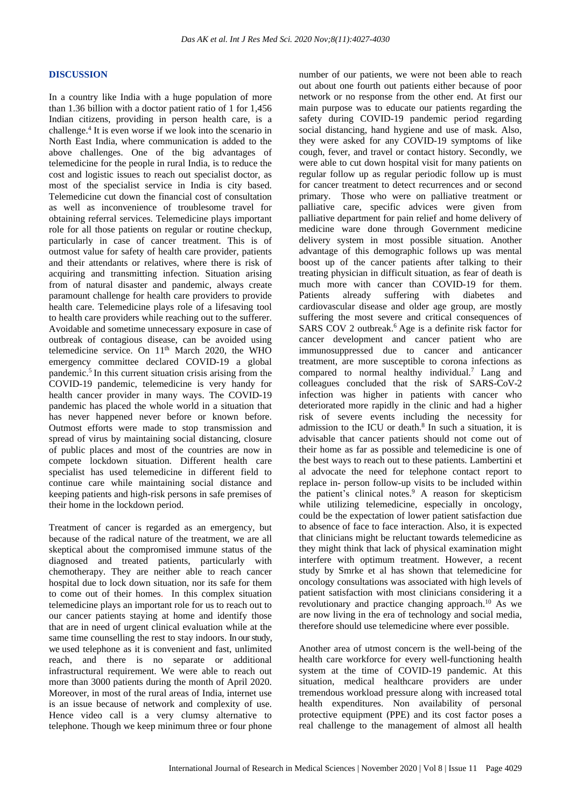#### **DISCUSSION**

In a country like India with a huge population of more than 1.36 billion with a doctor patient ratio of 1 for 1,456 Indian citizens, providing in person health care, is a challenge.<sup>4</sup> It is even worse if we look into the scenario in North East India, where communication is added to the above challenges. One of the big advantages of telemedicine for the people in rural India, is to reduce the cost and logistic issues to reach out specialist doctor, as most of the specialist service in India is city based. Telemedicine cut down the financial cost of consultation as well as inconvenience of troublesome travel for obtaining referral services. Telemedicine plays important role for all those patients on regular or routine checkup, particularly in case of cancer treatment. This is of outmost value for safety of health care provider, patients and their attendants or relatives, where there is risk of acquiring and transmitting infection. Situation arising from of natural disaster and pandemic, always create paramount challenge for health care providers to provide health care. Telemedicine plays role of a lifesaving tool to health care providers while reaching out to the sufferer. Avoidable and sometime unnecessary exposure in case of outbreak of contagious disease, can be avoided using telemedicine service. On 11<sup>th</sup> March 2020, the WHO emergency committee declared COVID-19 a global pandemic.<sup>5</sup> In this current situation crisis arising from the COVID-19 pandemic, telemedicine is very handy for health cancer provider in many ways. The COVID-19 pandemic has placed the whole world in a situation that has never happened never before or known before. Outmost efforts were made to stop transmission and spread of virus by maintaining social distancing, closure of public places and most of the countries are now in compete lockdown situation. Different health care specialist has used telemedicine in different field to continue care while maintaining social distance and keeping patients and high-risk persons in safe premises of their home in the lockdown period.

Treatment of cancer is regarded as an emergency, but because of the radical nature of the treatment, we are all skeptical about the compromised immune status of the diagnosed and treated patients, particularly with chemotherapy. They are neither able to reach cancer hospital due to lock down situation, nor its safe for them to come out of their homes. In this complex situation telemedicine plays an important role for us to reach out to our cancer patients staying at home and identify those that are in need of urgent clinical evaluation while at the same time counselling the rest to stay indoors. In ourstudy, we used telephone as it is convenient and fast, unlimited reach, and there is no separate or additional infrastructural requirement. We were able to reach out more than 3000 patients during the month of April 2020. Moreover, in most of the rural areas of India, internet use is an issue because of network and complexity of use. Hence video call is a very clumsy alternative to telephone. Though we keep minimum three or four phone number of our patients, we were not been able to reach out about one fourth out patients either because of poor network or no response from the other end. At first our main purpose was to educate our patients regarding the safety during COVID-19 pandemic period regarding social distancing, hand hygiene and use of mask. Also, they were asked for any COVID-19 symptoms of like cough, fever, and travel or contact history. Secondly, we were able to cut down hospital visit for many patients on regular follow up as regular periodic follow up is must for cancer treatment to detect recurrences and or second primary. Those who were on palliative treatment or palliative care, specific advices were given from palliative department for pain relief and home delivery of medicine ware done through Government medicine delivery system in most possible situation. Another advantage of this demographic follows up was mental boost up of the cancer patients after talking to their treating physician in difficult situation, as fear of death is much more with cancer than COVID-19 for them. Patients already suffering with diabetes and cardiovascular disease and older age group, are mostly suffering the most severe and critical consequences of SARS COV 2 outbreak.<sup>6</sup> Age is a definite risk factor for cancer development and cancer patient who are immunosuppressed due to cancer and anticancer treatment, are more susceptible to corona infections as compared to normal healthy individual.<sup>7</sup> Lang and colleagues concluded that the risk of SARS-CoV-2 infection was higher in patients with cancer who deteriorated more rapidly in the clinic and had a higher risk of severe events including the necessity for admission to the ICU or death. $8$  In such a situation, it is advisable that cancer patients should not come out of their home as far as possible and telemedicine is one of the best ways to reach out to these patients. Lambertini et al advocate the need for telephone contact report to replace in- person follow-up visits to be included within the patient's clinical notes.<sup>9</sup> A reason for skepticism while utilizing telemedicine, especially in oncology, could be the expectation of lower patient satisfaction due to absence of face to face interaction. Also, it is expected that clinicians might be reluctant towards telemedicine as they might think that lack of physical examination might interfere with optimum treatment. However, a recent study by Smrke et al has shown that telemedicine for oncology consultations was associated with high levels of patient satisfaction with most clinicians considering it a revolutionary and practice changing approach.<sup>10</sup> As we are now living in the era of technology and social media, therefore should use telemedicine where ever possible.

Another area of utmost concern is the well-being of the health care workforce for every well-functioning health system at the time of COVID-19 pandemic. At this situation, medical healthcare providers are under tremendous workload pressure along with increased total health expenditures. Non availability of personal protective equipment (PPE) and its cost factor poses a real challenge to the management of almost all health